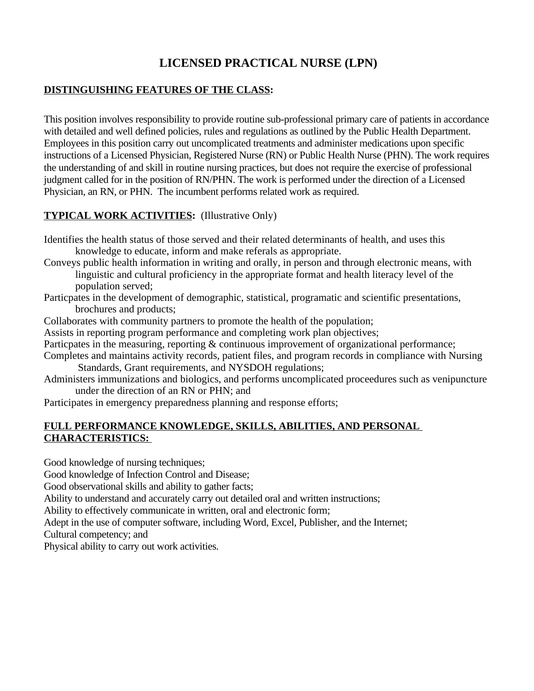# **LICENSED PRACTICAL NURSE (LPN)**

#### **DISTINGUISHING FEATURES OF THE CLASS:**

This position involves responsibility to provide routine sub-professional primary care of patients in accordance with detailed and well defined policies, rules and regulations as outlined by the Public Health Department. Employees in this position carry out uncomplicated treatments and administer medications upon specific instructions of a Licensed Physician, Registered Nurse (RN) or Public Health Nurse (PHN). The work requires the understanding of and skill in routine nursing practices, but does not require the exercise of professional judgment called for in the position of RN/PHN. The work is performed under the direction of a Licensed Physician, an RN, or PHN. The incumbent performs related work as required.

# **TYPICAL WORK ACTIVITIES:** (Illustrative Only)

Identifies the health status of those served and their related determinants of health, and uses this knowledge to educate, inform and make referals as appropriate.

- Conveys public health information in writing and orally, in person and through electronic means, with linguistic and cultural proficiency in the appropriate format and health literacy level of the population served;
- Particpates in the development of demographic, statistical, programatic and scientific presentations, brochures and products;
- Collaborates with community partners to promote the health of the population;
- Assists in reporting program performance and completing work plan objectives;
- Particpates in the measuring, reporting & continuous improvement of organizational performance;
- Completes and maintains activity records, patient files, and program records in compliance with Nursing Standards, Grant requirements, and NYSDOH regulations;
- Administers immunizations and biologics, and performs uncomplicated proceedures such as venipuncture under the direction of an RN or PHN; and
- Participates in emergency preparedness planning and response efforts;

#### **FULL PERFORMANCE KNOWLEDGE, SKILLS, ABILITIES, AND PERSONAL CHARACTERISTICS:**

Good knowledge of nursing techniques;

Good knowledge of Infection Control and Disease;

Good observational skills and ability to gather facts;

Ability to understand and accurately carry out detailed oral and written instructions;

Ability to effectively communicate in written, oral and electronic form;

Adept in the use of computer software, including Word, Excel, Publisher, and the Internet;

Cultural competency; and

Physical ability to carry out work activities.